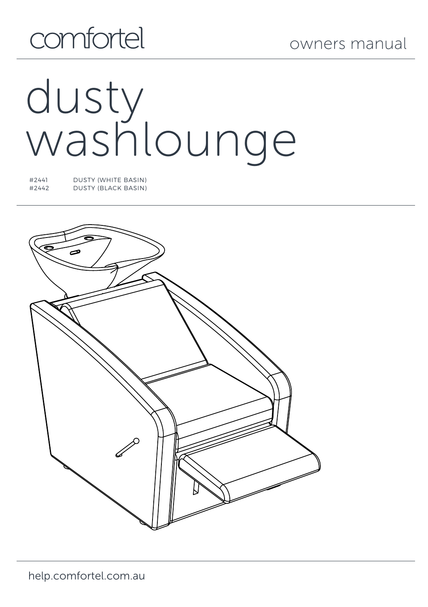# comfortel

# dusty washlounge

#2441 DUSTY (WHITE BASIN) #2442 DUSTY (BLACK BASIN)

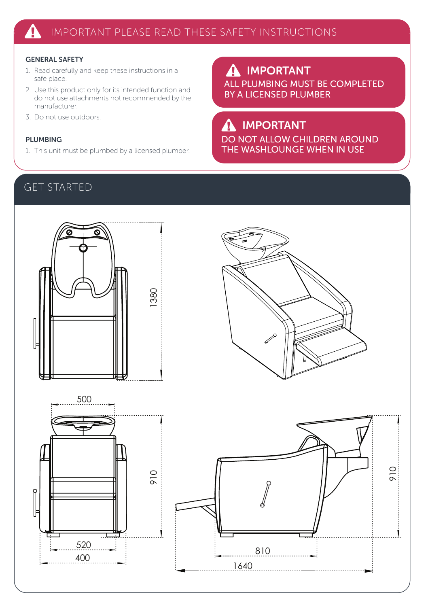### GENERAL SAFETY

- 1. Read carefully and keep these instructions in a safe place.
- 2. Use this product only for its intended function and do not use attachments not recommended by the manufacturer.
- 3. Do not use outdoors.

### PLUMBING

1. This unit must be plumbed by a licensed plumber.

IMPORTANT  $\boldsymbol{\Lambda}$ ALL PLUMBING MUST BE COMPLETED BY A LICENSED PLUMBER

## IMPORTANT

DO NOT ALLOW CHILDREN AROUND THE WASHLOUNGE WHEN IN USE

## GET STARTED

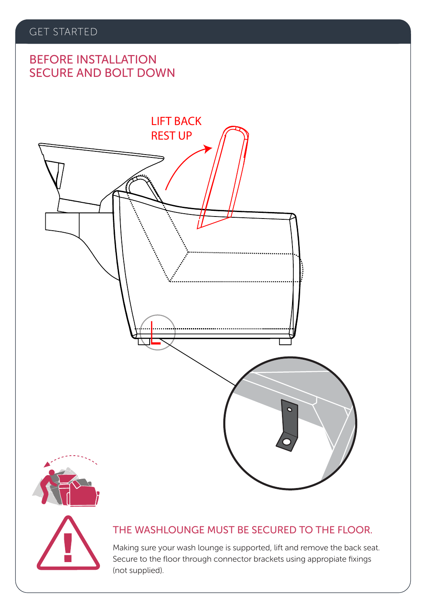### GET STARTED

## SECURE AND BOLT DOWN BEFORE INSTALLATION







### THE WASHLOUNGE MUST BE SECURED TO THE FLOOR.

Making sure your wash lounge is supported, lift and remove the back seat. Secure to the floor through connector brackets using appropiate fixings (not supplied).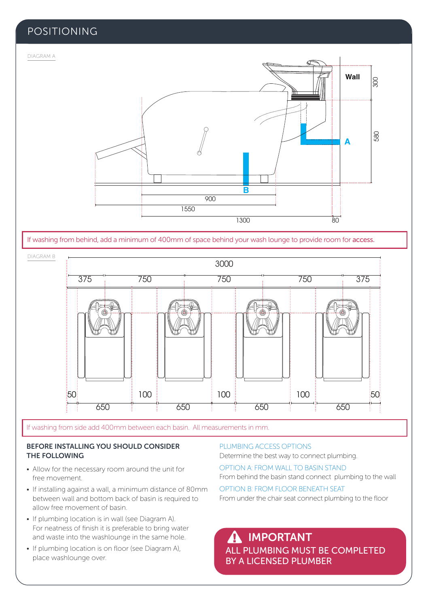### POSITIONING



If washing from behind, add a minimum of 400mm of space behind your wash lounge to provide room for access.



If washing from side add 400mm between each basin. All measurements in mm.

### BEFORE INSTALLING YOU SHOULD CONSIDER THE FOLLOWING

- Allow for the necessary room around the unit for free movement.
- If installing against a wall, a minimum distance of 80mm between wall and bottom back of basin is required to allow free movement of basin.
- If plumbing location is in wall (see Diagram A). For neatness of finish it is preferable to bring water and waste into the washlounge in the same hole.
- If plumbing location is on floor (see Diagram A), place washlounge over.

#### PLUMBING ACCESS OPTIONS

Determine the best way to connect plumbing.

OPTION A: FROM WALL TO BASIN STAND

From behind the basin stand connect plumbing to the wall

OPTION B: FROM FLOOR BENEATH SEAT From under the chair seat connect plumbing to the floor

ALL PLUMBING MUST BE COMPLETED BY A LICENSED PLUMBER IMPORTANT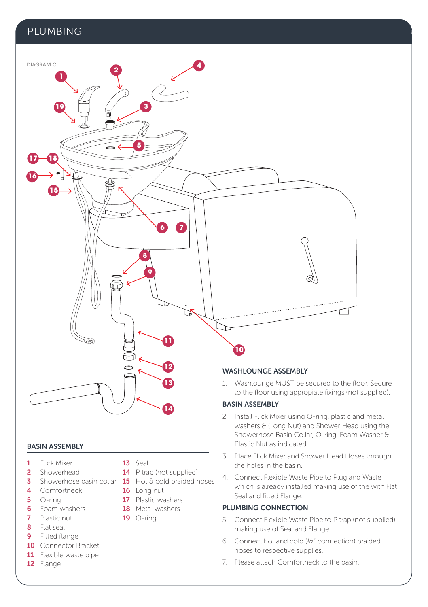### PLUMBING



### BASIN ASSEMBLY

- 1 Flick Mixer
- 2 Showerhead
- 4 Comfortneck
- 5 O-ring
- 6 Foam washers
- 7 Plastic nut
- 8 Flat seal
- 9 Fitted flange
- 10 Connector Bracket
- 11 Flexible waste pipe
- 12 Flange
- 13 Seal
- 14 P trap (not supplied)
- **3** Showerhose basin collar **15** Hot & cold braided hoses

**14**

- 16 Long nut
- 17 Plastic washers
- 18 Metal washers
- $19$  O-ring

to the floor using appropiate fixings (not supplied).

- 2. Install Flick Mixer using O-ring, plastic and metal washers & (Long Nut) and Shower Head using the Showerhose Basin Collar, O-ring, Foam Washer & Plastic Nut as indicated.
- 3. Place Flick Mixer and Shower Head Hoses through the holes in the basin.
- 4. Connect Flexible Waste Pipe to Plug and Waste which is already installed making use of the with Flat Seal and fitted Flange.

### PLUMBING CONNECTION

- 5. Connect Flexible Waste Pipe to P trap (not supplied) making use of Seal and Flange.
- 6. Connect hot and cold (½" connection) braided hoses to respective supplies.
- 7. Please attach Comfortneck to the basin.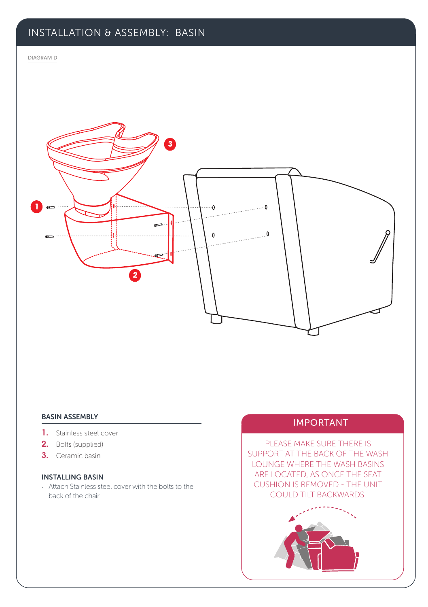### INSTALLATION & ASSEMBLY: BASIN

#### DIAGRAM D



# BASIN ASSEMBLY<br> **IMPORTANT**

- 1. Stainless steel cover
- 2. Bolts (supplied)
- 3. Ceramic basin

### INSTALLING BASIN

· Attach Stainless steel cover with the bolts to the back of the chair.

PLEASE MAKE SURE THERE IS SUPPORT AT THE BACK OF THE WASH LOUNGE WHERE THE WASH BASINS ARE LOCATED, AS ONCE THE SEAT CUSHION IS REMOVED - THE UNIT COULD TILT BACKWARDS.

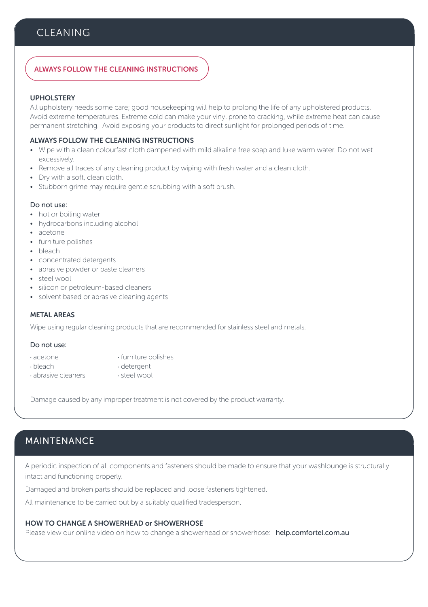### **CLEANING**

### ALWAYS FOLLOW THE CLEANING INSTRUCTIONS

### UPHOLSTERY

All upholstery needs some care; good housekeeping will help to prolong the life of any upholstered products. Avoid extreme temperatures. Extreme cold can make your vinyl prone to cracking, while extreme heat can cause permanent stretching. Avoid exposing your products to direct sunlight for prolonged periods of time.

#### ALWAYS FOLLOW THE CLEANING INSTRUCTIONS

- Wipe with a clean colourfast cloth dampened with mild alkaline free soap and luke warm water. Do not wet excessively.
- Remove all traces of any cleaning product by wiping with fresh water and a clean cloth.
- Dry with a soft, clean cloth.
- Stubborn grime may require gentle scrubbing with a soft brush.

#### Do not use:

- hot or boiling water
- hydrocarbons including alcohol
- acetone
- furniture polishes
- bleach
- concentrated detergents
- abrasive powder or paste cleaners
- steel wool
- silicon or petroleum-based cleaners
- solvent based or abrasive cleaning agents

### METAL AREAS

Wipe using regular cleaning products that are recommended for stainless steel and metals.

#### Do not use:

- · acetone · · · · · · furniture polishes
	-
- abrasive cleaners
- · bleach · detergent

Damage caused by any improper treatment is not covered by the product warranty.

### MAINTENANCE

A periodic inspection of all components and fasteners should be made to ensure that your washlounge is structurally intact and functioning properly.

Damaged and broken parts should be replaced and loose fasteners tightened.

All maintenance to be carried out by a suitably qualified tradesperson.

### HOW TO CHANGE A SHOWERHEAD or SHOWERHOSE

Please view our online video on how to change a showerhead or showerhose: help.comfortel.com.au